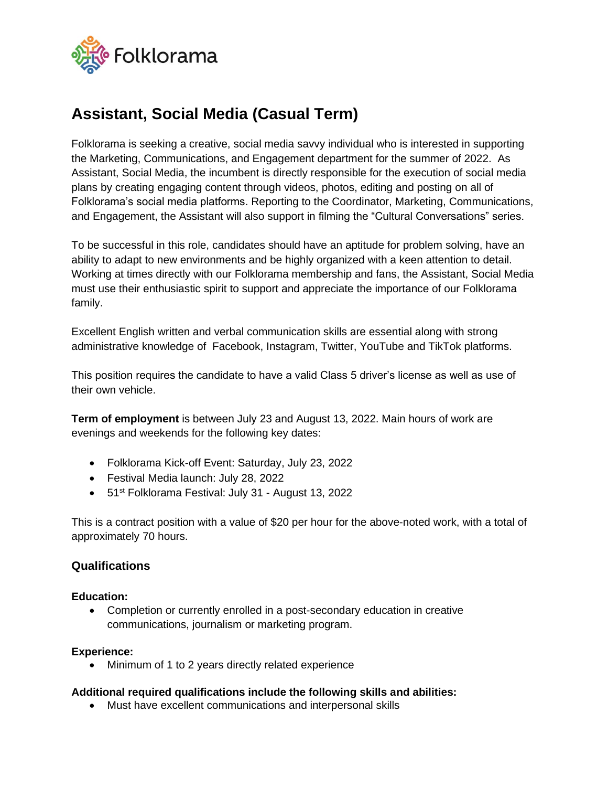

# **Assistant, Social Media (Casual Term)**

Folklorama is seeking a creative, social media savvy individual who is interested in supporting the Marketing, Communications, and Engagement department for the summer of 2022. As Assistant, Social Media, the incumbent is directly responsible for the execution of social media plans by creating engaging content through videos, photos, editing and posting on all of Folklorama's social media platforms. Reporting to the Coordinator, Marketing, Communications, and Engagement, the Assistant will also support in filming the "Cultural Conversations" series.

To be successful in this role, candidates should have an aptitude for problem solving, have an ability to adapt to new environments and be highly organized with a keen attention to detail. Working at times directly with our Folklorama membership and fans, the Assistant, Social Media must use their enthusiastic spirit to support and appreciate the importance of our Folklorama family.

Excellent English written and verbal communication skills are essential along with strong administrative knowledge of Facebook, Instagram, Twitter, YouTube and TikTok platforms.

This position requires the candidate to have a valid Class 5 driver's license as well as use of their own vehicle.

**Term of employment** is between July 23 and August 13, 2022. Main hours of work are evenings and weekends for the following key dates:

- Folklorama Kick-off Event: Saturday, July 23, 2022
- Festival Media launch: July 28, 2022
- 51st Folklorama Festival: July 31 August 13, 2022

This is a contract position with a value of \$20 per hour for the above-noted work, with a total of approximately 70 hours.

## **Qualifications**

### **Education:**

• Completion or currently enrolled in a post-secondary education in creative communications, journalism or marketing program.

### **Experience:**

• Minimum of 1 to 2 years directly related experience

### **Additional required qualifications include the following skills and abilities:**

• Must have excellent communications and interpersonal skills